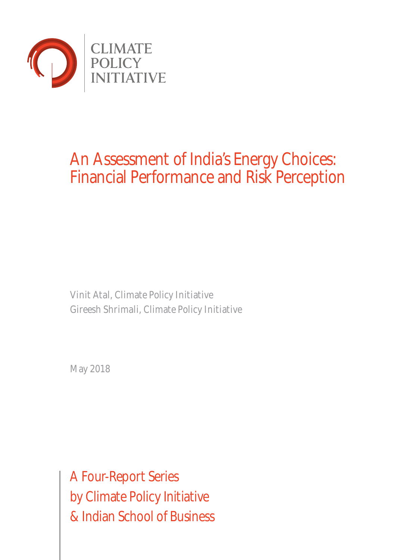

# An Assessment of India's Energy Choices: Financial Performance and Risk Perception

Vinit Atal, Climate Policy Initiative Gireesh Shrimali, Climate Policy Initiative

May 2018

A Four-Report Series by Climate Policy Initiative & Indian School of Business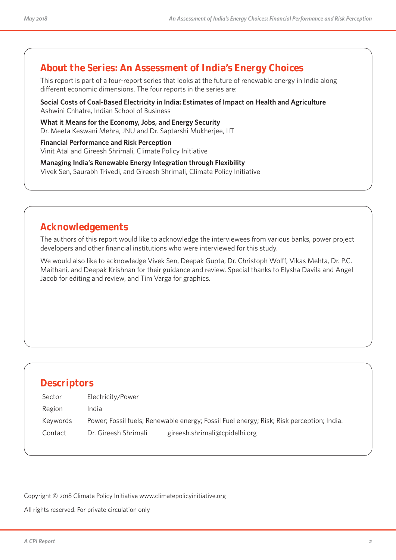## **About the Series: An Assessment of India's Energy Choices**

This report is part of a four-report series that looks at the future of renewable energy in India along different economic dimensions. The four reports in the series are:

**Social Costs of Coal-Based Electricity in India: Estimates of Impact on Health and Agriculture** Ashwini Chhatre, Indian School of Business

**What it Means for the Economy, Jobs, and Energy Security** Dr. Meeta Keswani Mehra, JNU and Dr. Saptarshi Mukherjee, IIT

**Financial Performance and Risk Perception**  Vinit Atal and Gireesh Shrimali, Climate Policy Initiative

**Managing India's Renewable Energy Integration through Flexibility**  Vivek Sen, Saurabh Trivedi, and Gireesh Shrimali, Climate Policy Initiative

# **Acknowledgements**

The authors of this report would like to acknowledge the interviewees from various banks, power project developers and other financial institutions who were interviewed for this study.

We would also like to acknowledge Vivek Sen, Deepak Gupta, Dr. Christoph Wolff, Vikas Mehta, Dr. P.C. Maithani, and Deepak Krishnan for their guidance and review. Special thanks to Elysha Davila and Angel Jacob for editing and review, and Tim Varga for graphics.

## **Descriptors**

| Sector   | Electricity/Power    |                                                                                          |
|----------|----------------------|------------------------------------------------------------------------------------------|
| Region   | India                |                                                                                          |
| Keywords |                      | Power; Fossil fuels; Renewable energy; Fossil Fuel energy; Risk; Risk perception; India. |
| Contact  | Dr. Gireesh Shrimali | gireesh.shrimali@cpidelhi.org                                                            |

Copyright © 2018 Climate Policy Initiative www.climatepolicyinitiative.org

All rights reserved. For private circulation only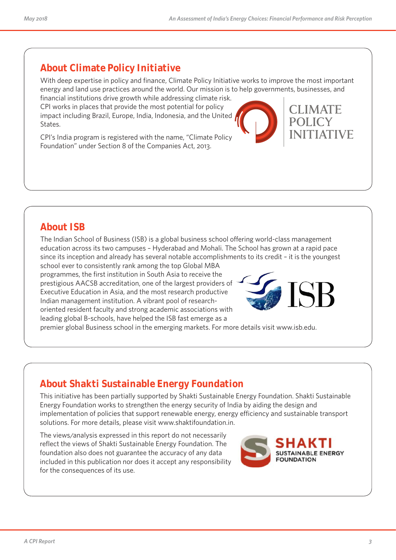# **About Climate Policy Initiative**

With deep expertise in policy and finance, Climate Policy Initiative works to improve the most important energy and land use practices around the world. Our mission is to help governments, businesses, and

financial institutions drive growth while addressing climate risk. CPI works in places that provide the most potential for policy impact including Brazil, Europe, India, Indonesia, and the United States.

CPI's India program is registered with the name, "Climate Policy Foundation" under Section 8 of the Companies Act, 2013.

# **About ISB**

The Indian School of Business (ISB) is a global business school offering world-class management education across its two campuses – Hyderabad and Mohali. The School has grown at a rapid pace since its inception and already has several notable accomplishments to its credit – it is the youngest

school ever to consistently rank among the top Global MBA programmes, the first institution in South Asia to receive the prestigious AACSB accreditation, one of the largest providers of Executive Education in Asia, and the most research productive Indian management institution. A vibrant pool of researchoriented resident faculty and strong academic associations with leading global B-schools, have helped the ISB fast emerge as a premier global Business school in the emerging markets. For more details visit www.isb.edu.

# **About Shakti Sustainable Energy Foundation**

This initiative has been partially supported by Shakti Sustainable Energy Foundation. Shakti Sustainable Energy Foundation works to strengthen the energy security of India by aiding the design and implementation of policies that support renewable energy, energy efficiency and sustainable transport solutions. For more details, please visit www.shaktifoundation.in.

The views/analysis expressed in this report do not necessarily reflect the views of Shakti Sustainable Energy Foundation. The foundation also does not guarantee the accuracy of any data included in this publication nor does it accept any responsibility for the consequences of its use.







LIMATE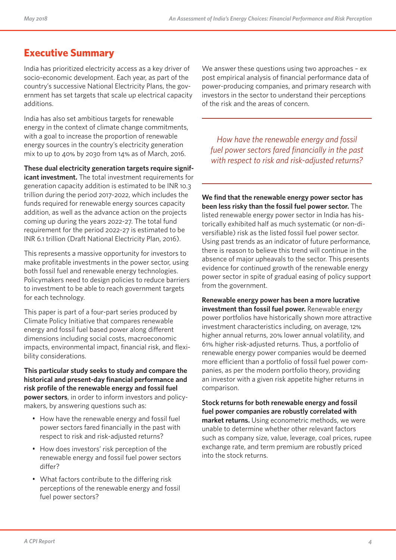# **Executive Summary**

India has prioritized electricity access as a key driver of socio-economic development. Each year, as part of the country's successive National Electricity Plans, the government has set targets that scale up electrical capacity additions.

India has also set ambitious targets for renewable energy in the context of climate change commitments, with a goal to increase the proportion of renewable energy sources in the country's electricity generation mix to up to 40% by 2030 from 14% as of March, 2016.

**These dual electricity generation targets require significant investment.** The total investment requirements for generation capacity addition is estimated to be INR 10.3 trillion during the period 2017-2022, which includes the funds required for renewable energy sources capacity addition, as well as the advance action on the projects coming up during the years 2022-27. The total fund requirement for the period 2022-27 is estimated to be INR 6.1 trillion (Draft National Electricity Plan, 2016).

This represents a massive opportunity for investors to make profitable investments in the power sector, using both fossil fuel and renewable energy technologies. Policymakers need to design policies to reduce barriers to investment to be able to reach government targets for each technology.

This paper is part of a four-part series produced by Climate Policy Initiative that compares renewable energy and fossil fuel based power along different dimensions including social costs, macroeconomic impacts, environmental impact, financial risk, and flexibility considerations.

**This particular study seeks to study and compare the historical and present-day financial performance and risk profile of the renewable energy and fossil fuel power sectors**, in order to inform investors and policymakers, by answering questions such as:

- How have the renewable energy and fossil fuel power sectors fared financially in the past with respect to risk and risk-adjusted returns?
- How does investors' risk perception of the renewable energy and fossil fuel power sectors differ?
- What factors contribute to the differing risk perceptions of the renewable energy and fossil fuel power sectors?

We answer these questions using two approaches - ex post empirical analysis of financial performance data of power-producing companies, and primary research with investors in the sector to understand their perceptions of the risk and the areas of concern.

*How have the renewable energy and fossil fuel power sectors fared financially in the past with respect to risk and risk-adjusted returns?*

**We find that the renewable energy power sector has been less risky than the fossil fuel power sector.** The listed renewable energy power sector in India has historically exhibited half as much systematic (or non-diversifiable) risk as the listed fossil fuel power sector. Using past trends as an indicator of future performance, there is reason to believe this trend will continue in the absence of major upheavals to the sector. This presents evidence for continued growth of the renewable energy power sector in spite of gradual easing of policy support from the government.

**Renewable energy power has been a more lucrative investment than fossil fuel power.** Renewable energy power portfolios have historically shown more attractive investment characteristics including, on average, 12% higher annual returns, 20% lower annual volatility, and 61% higher risk-adjusted returns. Thus, a portfolio of renewable energy power companies would be deemed more efficient than a portfolio of fossil fuel power companies, as per the modern portfolio theory, providing an investor with a given risk appetite higher returns in comparison.

**Stock returns for both renewable energy and fossil fuel power companies are robustly correlated with market returns.** Using econometric methods, we were unable to determine whether other relevant factors such as company size, value, leverage, coal prices, rupee exchange rate, and term premium are robustly priced into the stock returns.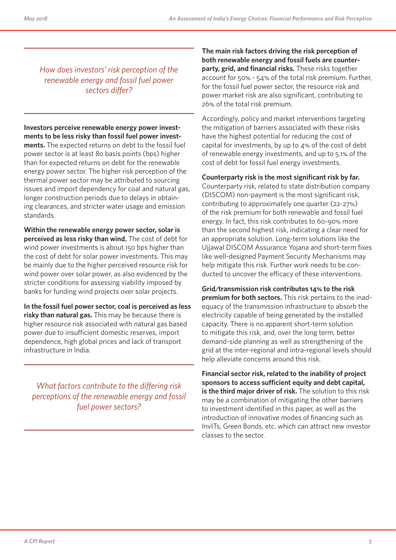*How does investors' risk perception of the renewable energy and fossil fuel power sectors differ?*

**Investors perceive renewable energy power investments to be less risky than fossil fuel power investments.** The expected returns on debt to the fossil fuel power sector is at least 80 basis points (bps) higher than for expected returns on debt for the renewable energy power sector. The higher risk perception of the thermal power sector may be attributed to sourcing issues and import dependency for coal and natural gas, longer construction periods due to delays in obtaining clearances, and stricter water usage and emission standards.

**Within the renewable energy power sector, solar is perceived as less risky than wind.** The cost of debt for wind power investments is about 150 bps higher than the cost of debt for solar power investments. This may be mainly due to the higher perceived resource risk for wind power over solar power, as also evidenced by the stricter conditions for assessing viability imposed by banks for funding wind projects over solar projects.

**In the fossil fuel power sector, coal is perceived as less risky than natural gas.** This may be because there is higher resource risk associated with natural gas based power due to insufficient domestic reserves, import dependence, high global prices and lack of transport infrastructure in India.

*What factors contribute to the differing risk perceptions of the renewable energy and fossil fuel power sectors?*

**The main risk factors driving the risk perception of both renewable energy and fossil fuels are counterparty, grid, and financial risks.** These risks together account for 50% - 54% of the total risk premium. Further, for the fossil fuel power sector, the resource risk and power market risk are also significant, contributing to 26% of the total risk premium.

Accordingly, policy and market interventions targeting the mitigation of barriers associated with these risks have the highest potential for reducing the cost of capital for investments, by up to 4% of the cost of debt of renewable energy investments, and up to 5.1% of the cost of debt for fossil fuel energy investments.

**Counterparty risk is the most significant risk by far.**  Counterparty risk, related to state distribution company (DISCOM) non-payment is the most significant risk, contributing to approximately one quarter (22-27%) of the risk premium for both renewable and fossil fuel energy. In fact, this risk contributes to 60-90% more than the second highest risk, indicating a clear need for an appropriate solution. Long-term solutions like the Ujjawal DISCOM Assurance Yojana and short-term fixes like well-designed Payment Security Mechanisms may help mitigate this risk. Further work needs to be conducted to uncover the efficacy of these interventions.

**Grid/transmission risk contributes 14% to the risk premium for both sectors.** This risk pertains to the inadequacy of the transmission infrastructure to absorb the electricity capable of being generated by the installed capacity. There is no apparent short-term solution to mitigate this risk, and, over the long term, better demand-side planning as well as strengthening of the grid at the inter-regional and intra-regional levels should help alleviate concerns around this risk.

**Financial sector risk, related to the inability of project sponsors to access sufficient equity and debt capital, is the third major driver of risk.** The solution to this risk may be a combination of mitigating the other barriers to investment identified in this paper, as well as the introduction of innovative modes of financing such as InvITs, Green Bonds, etc. which can attract new investor classes to the sector.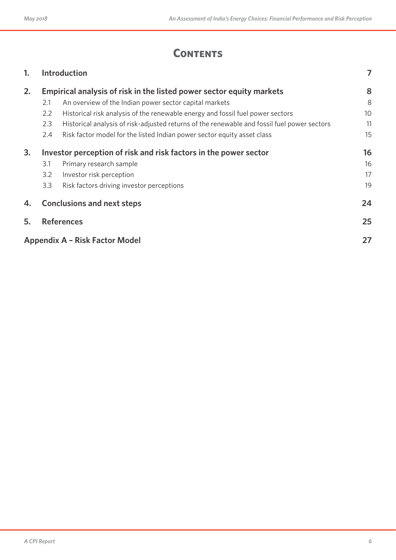# **CONTENTS**

| 1. |                                             | <b>Introduction</b>                                                                         |    |  |  |
|----|---------------------------------------------|---------------------------------------------------------------------------------------------|----|--|--|
| 2. |                                             | Empirical analysis of risk in the listed power sector equity markets                        | 8  |  |  |
|    | 2.1                                         | An overview of the Indian power sector capital markets                                      | 8  |  |  |
|    | 2.2                                         | Historical risk analysis of the renewable energy and fossil fuel power sectors              | 10 |  |  |
|    | 2.3                                         | Historical analysis of risk-adjusted returns of the renewable and fossil fuel power sectors | 11 |  |  |
|    | 2.4                                         | Risk factor model for the listed Indian power sector equity asset class                     | 15 |  |  |
| 3. |                                             | Investor perception of risk and risk factors in the power sector                            | 16 |  |  |
|    | 3.1                                         | Primary research sample                                                                     | 16 |  |  |
|    | 3.2                                         | Investor risk perception                                                                    | 17 |  |  |
|    | 3.3                                         | Risk factors driving investor perceptions                                                   | 19 |  |  |
| 4. |                                             | <b>Conclusions and next steps</b>                                                           | 24 |  |  |
| 5. |                                             | <b>References</b>                                                                           | 25 |  |  |
|    | <b>Appendix A - Risk Factor Model</b><br>27 |                                                                                             |    |  |  |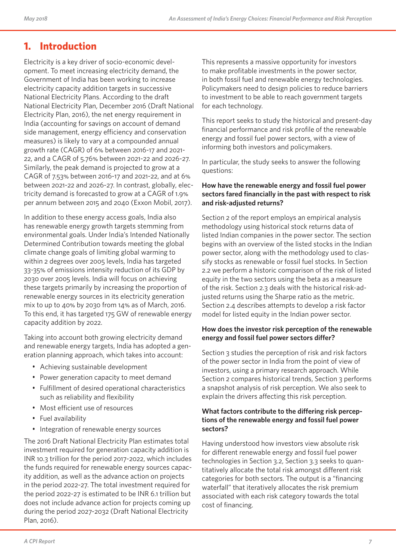# **1. Introduction**

Electricity is a key driver of socio-economic development. To meet increasing electricity demand, the Government of India has been working to increase electricity capacity addition targets in successive National Electricity Plans. According to the draft National Electricity Plan, December 2016 (Draft National Electricity Plan, 2016), the net energy requirement in India (accounting for savings on account of demand side management, energy efficiency and conservation measures) is likely to vary at a compounded annual growth rate (CAGR) of 6% between 2016-17 and 2021- 22, and a CAGR of 5.76% between 2021-22 and 2026-27. Similarly, the peak demand is projected to grow at a CAGR of 7.53% between 2016-17 and 2021-22, and at 6% between 2021-22 and 2026-27. In contrast, globally, electricity demand is forecasted to grow at a CAGR of 1.9% per annum between 2015 and 2040 (Exxon Mobil, 2017).

In addition to these energy access goals, India also has renewable energy growth targets stemming from environmental goals. Under India's Intended Nationally Determined Contribution towards meeting the global climate change goals of limiting global warming to within 2 degrees over 2005 levels, India has targeted 33-35% of emissions intensity reduction of its GDP by 2030 over 2005 levels. India will focus on achieving these targets primarily by increasing the proportion of renewable energy sources in its electricity generation mix to up to 40% by 2030 from 14% as of March, 2016. To this end, it has targeted 175 GW of renewable energy capacity addition by 2022.

Taking into account both growing electricity demand and renewable energy targets, India has adopted a generation planning approach, which takes into account:

- Achieving sustainable development
- Power generation capacity to meet demand
- Fulfillment of desired operational characteristics such as reliability and flexibility
- Most efficient use of resources
- Fuel availability
- Integration of renewable energy sources

The 2016 Draft National Electricity Plan estimates total investment required for generation capacity addition is INR 10.3 trillion for the period 2017-2022, which includes the funds required for renewable energy sources capacity addition, as well as the advance action on projects in the period 2022-27. The total investment required for the period 2022-27 is estimated to be INR 6.1 trillion but does not include advance action for projects coming up during the period 2027-2032 (Draft National Electricity Plan, 2016).

This represents a massive opportunity for investors to make profitable investments in the power sector, in both fossil fuel and renewable energy technologies. Policymakers need to design policies to reduce barriers to investment to be able to reach government targets for each technology.

This report seeks to study the historical and present-day financial performance and risk profile of the renewable energy and fossil fuel power sectors, with a view of informing both investors and policymakers.

In particular, the study seeks to answer the following questions:

#### **How have the renewable energy and fossil fuel power sectors fared financially in the past with respect to risk and risk-adjusted returns?**

Section 2 of the report employs an empirical analysis methodology using historical stock returns data of listed Indian companies in the power sector. The section begins with an overview of the listed stocks in the Indian power sector, along with the methodology used to classify stocks as renewable or fossil fuel stocks. In Section 2.2 we perform a historic comparison of the risk of listed equity in the two sectors using the beta as a measure of the risk. Section 2.3 deals with the historical risk-adjusted returns using the Sharpe ratio as the metric. Section 2.4 describes attempts to develop a risk factor model for listed equity in the Indian power sector.

#### **How does the investor risk perception of the renewable energy and fossil fuel power sectors differ?**

Section 3 studies the perception of risk and risk factors of the power sector in India from the point of view of investors, using a primary research approach. While Section 2 compares historical trends, Section 3 performs a snapshot analysis of risk perception. We also seek to explain the drivers affecting this risk perception.

#### **What factors contribute to the differing risk perceptions of the renewable energy and fossil fuel power sectors?**

Having understood how investors view absolute risk for different renewable energy and fossil fuel power technologies in Section 3.2, Section 3.3 seeks to quantitatively allocate the total risk amongst different risk categories for both sectors. The output is a "financing waterfall" that iteratively allocates the risk premium associated with each risk category towards the total cost of financing.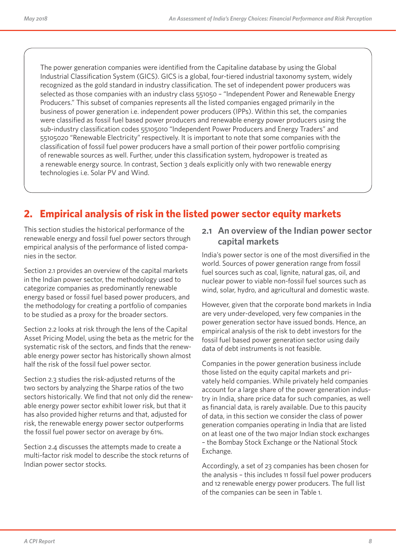The power generation companies were identified from the Capitaline database by using the Global Industrial Classification System (GICS). GICS is a global, four-tiered industrial taxonomy system, widely recognized as the gold standard in industry classification. The set of independent power producers was selected as those companies with an industry class 551050 – "Independent Power and Renewable Energy Producers." This subset of companies represents all the listed companies engaged primarily in the business of power generation i.e. independent power producers (IPPs). Within this set, the companies were classified as fossil fuel based power producers and renewable energy power producers using the sub-industry classification codes 55105010 "Independent Power Producers and Energy Traders" and 55105020 "Renewable Electricity" respectively. It is important to note that some companies with the classification of fossil fuel power producers have a small portion of their power portfolio comprising of renewable sources as well. Further, under this classification system, hydropower is treated as a renewable energy source. In contrast, Section 3 deals explicitly only with two renewable energy technologies i.e. Solar PV and Wind.

# **2. Empirical analysis of risk in the listed power sector equity markets**

This section studies the historical performance of the renewable energy and fossil fuel power sectors through empirical analysis of the performance of listed companies in the sector.

Section 2.1 provides an overview of the capital markets in the Indian power sector, the methodology used to categorize companies as predominantly renewable energy based or fossil fuel based power producers, and the methodology for creating a portfolio of companies to be studied as a proxy for the broader sectors.

Section 2.2 looks at risk through the lens of the Capital Asset Pricing Model, using the beta as the metric for the systematic risk of the sectors, and finds that the renewable energy power sector has historically shown almost half the risk of the fossil fuel power sector.

Section 2.3 studies the risk-adjusted returns of the two sectors by analyzing the Sharpe ratios of the two sectors historically. We find that not only did the renewable energy power sector exhibit lower risk, but that it has also provided higher returns and that, adjusted for risk, the renewable energy power sector outperforms the fossil fuel power sector on average by 61%.

Section 2.4 discusses the attempts made to create a multi-factor risk model to describe the stock returns of Indian power sector stocks.

### **2.1 An overview of the Indian power sector capital markets**

India's power sector is one of the most diversified in the world. Sources of power generation range from fossil fuel sources such as coal, lignite, natural gas, oil, and nuclear power to viable non-fossil fuel sources such as wind, solar, hydro, and agricultural and domestic waste.

However, given that the corporate bond markets in India are very under-developed, very few companies in the power generation sector have issued bonds. Hence, an empirical analysis of the risk to debt investors for the fossil fuel based power generation sector using daily data of debt instruments is not feasible.

Companies in the power generation business include those listed on the equity capital markets and privately held companies. While privately held companies account for a large share of the power generation industry in India, share price data for such companies, as well as financial data, is rarely available. Due to this paucity of data, in this section we consider the class of power generation companies operating in India that are listed on at least one of the two major Indian stock exchanges – the Bombay Stock Exchange or the National Stock Exchange.

Accordingly, a set of 23 companies has been chosen for the analysis – this includes 11 fossil fuel power producers and 12 renewable energy power producers. The full list of the companies can be seen in Table 1.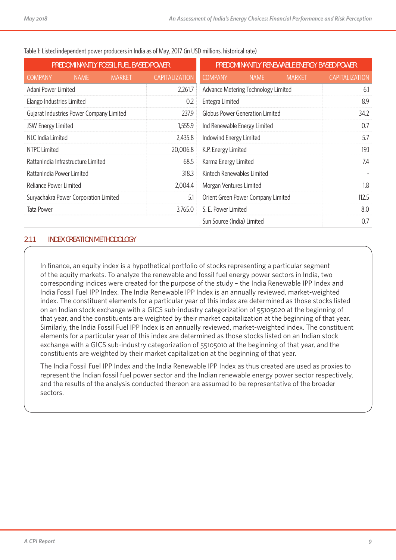| PREDOMINANTLY FOSSIL FUEL BASED POWER    | PREDOMINANTLY RENEWABLE ENERGY BASED POWER |                       |                            |                                        |               |                       |
|------------------------------------------|--------------------------------------------|-----------------------|----------------------------|----------------------------------------|---------------|-----------------------|
| <b>COMPANY</b><br><b>NAME</b>            | <b>MARKET</b>                              | <b>CAPITALIZATION</b> | <b>COMPANY</b>             | <b>NAME</b>                            | <b>MARKET</b> | <b>CAPITALIZATION</b> |
| Adani Power Limited                      |                                            | 2,261.7               |                            | Advance Metering Technology Limited    |               | 61                    |
| Elango Industries Limited                |                                            | 0.2                   | Entegra Limited            |                                        |               | 8.9                   |
| Gujarat Industries Power Company Limited |                                            | 237.9                 |                            | <b>Globus Power Generation Limited</b> |               | 34.2                  |
| JSW Energy Limited                       |                                            | 1,555.9               |                            | Ind Renewable Energy Limited           |               | 07                    |
| NLC India Limited                        |                                            | 2,435.8               | Indowind Energy Limited    |                                        |               | 5.7                   |
| NTPC Limited                             |                                            | 20,006.8              | K.P. Energy Limited        |                                        |               | 19.1                  |
| RattanIndia Infrastructure Limited       |                                            | 68.5                  | Karma Energy Limited       |                                        |               | 7.4                   |
| RattanIndia Power Limited                |                                            | 318.3                 | Kintech Renewables Limited |                                        |               |                       |
| Reliance Power Limited                   |                                            | 2,004.4               | Morgan Ventures Limited    |                                        |               | 1.8                   |
| Suryachakra Power Corporation Limited    |                                            | 5.1                   |                            | Orient Green Power Company Limited     |               | 112.5                 |
| <b>Tata Power</b>                        |                                            | 3,765.0               | S. E. Power Limited        |                                        |               | 8.0                   |
|                                          |                                            |                       | Sun Source (India) Limited |                                        |               | 0.7                   |

Table 1: Listed independent power producers in India as of May, 2017 (in USD millions, historical rate)

#### **2.1.1 INDEX CREATION METHODOLOGY**

In finance, an equity index is a hypothetical portfolio of stocks representing a particular segment of the equity markets. To analyze the renewable and fossil fuel energy power sectors in India, two corresponding indices were created for the purpose of the study – the India Renewable IPP Index and India Fossil Fuel IPP Index. The India Renewable IPP Index is an annually reviewed, market-weighted index. The constituent elements for a particular year of this index are determined as those stocks listed on an Indian stock exchange with a GICS sub-industry categorization of 55105020 at the beginning of that year, and the constituents are weighted by their market capitalization at the beginning of that year. Similarly, the India Fossil Fuel IPP Index is an annually reviewed, market-weighted index. The constituent elements for a particular year of this index are determined as those stocks listed on an Indian stock exchange with a GICS sub-industry categorization of 55105010 at the beginning of that year, and the constituents are weighted by their market capitalization at the beginning of that year.

The India Fossil Fuel IPP Index and the India Renewable IPP Index as thus created are used as proxies to represent the Indian fossil fuel power sector and the Indian renewable energy power sector respectively, and the results of the analysis conducted thereon are assumed to be representative of the broader sectors.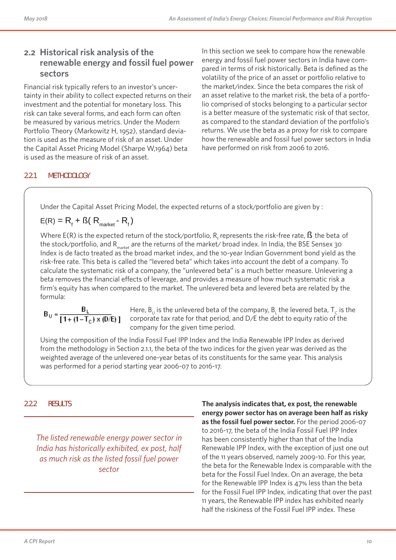### **2.2 Historical risk analysis of the renewable energy and fossil fuel power sectors**

Financial risk typically refers to an investor's uncertainty in their ability to collect expected returns on their investment and the potential for monetary loss. This risk can take several forms, and each form can often be measured by various metrics. Under the Modern Portfolio Theory (Markowitz H, 1952), standard deviation is used as the measure of risk of an asset. Under the Capital Asset Pricing Model (Sharpe W,1964) beta is used as the measure of risk of an asset.

In this section we seek to compare how the renewable energy and fossil fuel power sectors in India have compared in terms of risk historically. Beta is defined as the volatility of the price of an asset or portfolio relative to the market/index. Since the beta compares the risk of an asset relative to the market risk, the beta of a portfolio comprised of stocks belonging to a particular sector is a better measure of the systematic risk of that sector, as compared to the standard deviation of the portfolio's returns. We use the beta as a proxy for risk to compare how the renewable and fossil fuel power sectors in India have performed on risk from 2006 to 2016.

### **2.2.1 METHODOLOGY**

Under the Capital Asset Pricing Model, the expected returns of a stock/portfolio are given by :

$$
E(R) = R_f + B(R_{\text{market}} - R_f)
$$

Where E(R) is the expected return of the stock/portfolio,  $\mathsf{R}_{_{\rm f}}$  represents the risk-free rate,  $\mathsf B$  the beta of the stock/portfolio, and R<sub>market</sub> are the returns of the market/ broad index. In India, the BSE Sensex 30 Index is de facto treated as the broad market index, and the 10-year Indian Government bond yield as the risk-free rate. This beta is called the "levered beta" which takes into account the debt of a company. To calculate the systematic risk of a company, the "unlevered beta" is a much better measure. Unlevering a beta removes the financial effects of leverage, and provides a measure of how much systematic risk a firm's equity has when compared to the market. The unlevered beta and levered beta are related by the formula:

$$
B_U = \frac{B_L}{\left[1 + \left(1 - T_C\right) \times \left(D/E\right)\right]}
$$

Here,  $B_{U}$  is the unlevered beta of the company,  $B_{L}$  the levered beta,  $T_{C}$  is the corporate tax rate for that period, and D/E the debt to equity ratio of the company for the given time period.

Using the composition of the India Fossil Fuel IPP Index and the India Renewable IPP Index as derived from the methodology in Section 2.1.1, the beta of the two indices for the given year was derived as the weighted average of the unlevered one-year betas of its constituents for the same year. This analysis was performed for a period starting year 2006-07 to 2016-17.

#### **2.2.2 RESULTS**

*The listed renewable energy power sector in India has historically exhibited, ex post, half as much risk as the listed fossil fuel power sector*

**The analysis indicates that, ex post, the renewable energy power sector has on average been half as risky as the fossil fuel power sector.** For the period 2006-07 to 2016-17, the beta of the India Fossil Fuel IPP Index has been consistently higher than that of the India Renewable IPP Index, with the exception of just one out of the 11 years observed, namely 2009-10. For this year, the beta for the Renewable Index is comparable with the beta for the Fossil Fuel Index. On an average, the beta for the Renewable IPP Index is 47% less than the beta for the Fossil Fuel IPP Index, indicating that over the past 11 years, the Renewable IPP index has exhibited nearly half the riskiness of the Fossil Fuel IPP index. These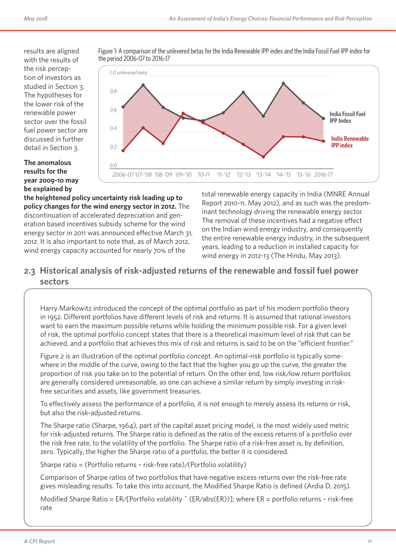results are aligned with the results of the risk perception of investors as studied in Section 3. The hypotheses for the lower risk of the renewable power sector over the fossil fuel power sector are discussed in further detail in Section 3.

#### **The anomalous results for the year 2009-10 may be explained by**



Figure 1: A comparison of the unlevered betas for the India Renewable IPP index and the India Fossil Fuel IPP index for

**the heightened policy uncertainty risk leading up to policy changes for the wind energy sector in 2012.** The discontinuation of accelerated depreciation and generation based incentives subsidy scheme for the wind energy sector in 2011 was announced effective March 31, 2012. It is also important to note that, as of March 2012, wind energy capacity accounted for nearly 70% of the

total renewable energy capacity in India (MNRE Annual Report 2010-11, May 2012), and as such was the predominant technology driving the renewable energy sector. The removal of these incentives had a negative effect on the Indian wind energy industry, and consequently the entire renewable energy industry, in the subsequent years, leading to a reduction in installed capacity for wind energy in 2012-13 (The Hindu, May 2013).

### **2.3 Historical analysis of risk-adjusted returns of the renewable and fossil fuel power sectors**

Harry Markowitz introduced the concept of the optimal portfolio as part of his modern portfolio theory in 1952. Different portfolios have different levels of risk and returns. It is assumed that rational investors want to earn the maximum possible returns while holding the minimum possible risk. For a given level of risk, the optimal portfolio concept states that there is a theoretical maximum level of risk that can be achieved, and a portfolio that achieves this mix of risk and returns is said to be on the "efficient frontier."

Figure 2 is an illustration of the optimal portfolio concept. An optimal-risk portfolio is typically somewhere in the middle of the curve, owing to the fact that the higher you go up the curve, the greater the proportion of risk you take on to the potential of return. On the other end, low risk/low return portfolios are generally considered unreasonable, as one can achieve a similar return by simply investing in riskfree securities and assets, like government treasuries.

To effectively assess the performance of a portfolio, it is not enough to merely assess its returns or risk, but also the risk-adjusted returns.

The Sharpe ratio (Sharpe, 1964), part of the capital asset pricing model, is the most widely used metric for risk-adjusted returns. The Sharpe ratio is defined as the ratio of the excess returns of a portfolio over the risk free rate, to the volatility of the portfolio. The Sharpe ratio of a risk-free asset is, by definition, zero. Typically, the higher the Sharpe ratio of a portfolio, the better it is considered.

Sharpe ratio = (Portfolio returns – risk-free rate)/(Portfolio volatility)

Comparison of Sharpe ratios of two portfolios that have negative excess returns over the risk-free rate gives misleading results. To take this into account, the Modified Sharpe Ratio is defined (Ardia D, 2015).

Modified Sharpe Ratio =  $ER/[Portbolic$  volatility  $\hat{C}(ER/abs(ER))]$ ; where  $ER =$  portfolio returns - risk-free rate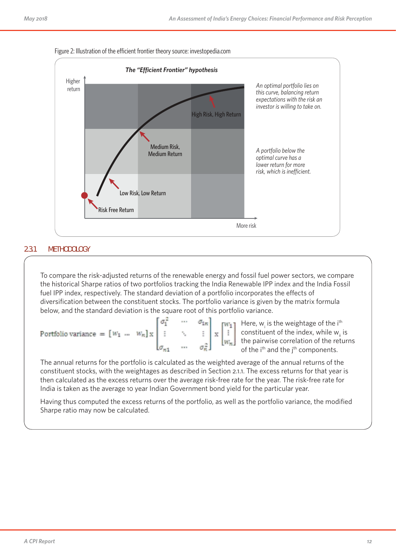

# **2.3.1 METHODOLOGY**

To compare the risk-adjusted returns of the renewable energy and fossil fuel power sectors, we compare the historical Sharpe ratios of two portfolios tracking the India Renewable IPP index and the India Fossil fuel IPP index, respectively. The standard deviation of a portfolio incorporates the effects of diversification between the constituent stocks. The portfolio variance is given by the matrix formula below, and the standard deviation is the square root of this portfolio variance.

|                                                                                                                          |  |  | $\mathbf{w}_1$ Here, w <sub>i</sub> is the weightage of the i <sup>th</sup>    |
|--------------------------------------------------------------------------------------------------------------------------|--|--|--------------------------------------------------------------------------------|
| Portfolio variance = $\begin{bmatrix} w_1 & \dots & w_n \end{bmatrix} x \begin{bmatrix} \vdots & \ddots & \end{bmatrix}$ |  |  | $\ \cdot\ $ constituent of the index, while w <sub>ii</sub> is                 |
|                                                                                                                          |  |  | $\left[\mathbf{w}_{\mathbf{x}}\right]$ the pairwise correlation of the returns |
|                                                                                                                          |  |  | of the i <sup>th</sup> and the j <sup>th</sup> components.                     |

The annual returns for the portfolio is calculated as the weighted average of the annual returns of the constituent stocks, with the weightages as described in Section 2.1.1. The excess returns for that year is then calculated as the excess returns over the average risk-free rate for the year. The risk-free rate for India is taken as the average 10 year Indian Government bond yield for the particular year.

Having thus computed the excess returns of the portfolio, as well as the portfolio variance, the modified Sharpe ratio may now be calculated.

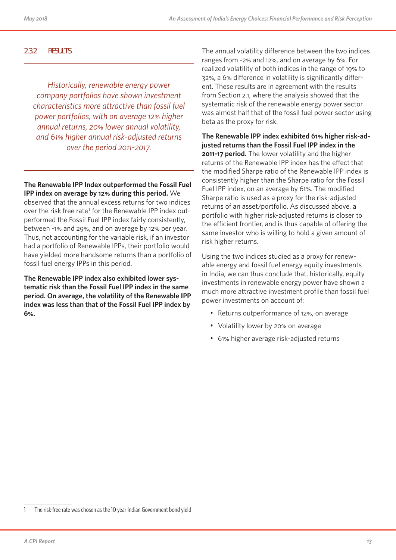#### **2.3.2 RESULTS**

*Historically, renewable energy power company portfolios have shown investment characteristics more attractive than fossil fuel power portfolios, with on average 12% higher annual returns, 20% lower annual volatility, and 61% higher annual risk-adjusted returns over the period 2011-2017.*

**The Renewable IPP Index outperformed the Fossil Fuel IPP index on average by 12% during this period.** We observed that the annual excess returns for two indices over the risk free rate<sup>1</sup> for the Renewable IPP index outperformed the Fossil Fuel IPP index fairly consistently, between -1% and 29%, and on average by 12% per year. Thus, not accounting for the variable risk, if an investor had a portfolio of Renewable IPPs, their portfolio would have yielded more handsome returns than a portfolio of fossil fuel energy IPPs in this period.

**The Renewable IPP index also exhibited lower systematic risk than the Fossil Fuel IPP index in the same period. On average, the volatility of the Renewable IPP index was less than that of the Fossil Fuel IPP index by 6%.**

The annual volatility difference between the two indices ranges from -2% and 12%, and on average by 6%. For realized volatility of both indices in the range of 19% to 32%, a 6% difference in volatility is significantly different. These results are in agreement with the results from Section 2.1, where the analysis showed that the systematic risk of the renewable energy power sector was almost half that of the fossil fuel power sector using beta as the proxy for risk.

**The Renewable IPP index exhibited 61% higher risk-adjusted returns than the Fossil Fuel IPP index in the 2011-17 period.** The lower volatility and the higher returns of the Renewable IPP index has the effect that the modified Sharpe ratio of the Renewable IPP index is consistently higher than the Sharpe ratio for the Fossil Fuel IPP index, on an average by 61%. The modified Sharpe ratio is used as a proxy for the risk-adjusted returns of an asset/portfolio. As discussed above, a portfolio with higher risk-adjusted returns is closer to the efficient frontier, and is thus capable of offering the same investor who is willing to hold a given amount of risk higher returns.

Using the two indices studied as a proxy for renewable energy and fossil fuel energy equity investments in India, we can thus conclude that, historically, equity investments in renewable energy power have shown a much more attractive investment profile than fossil fuel power investments on account of:

- Returns outperformance of 12%, on average
- Volatility lower by 20% on average
- 61% higher average risk-adjusted returns

<sup>1</sup> The risk-free rate was chosen as the 10 year Indian Government bond yield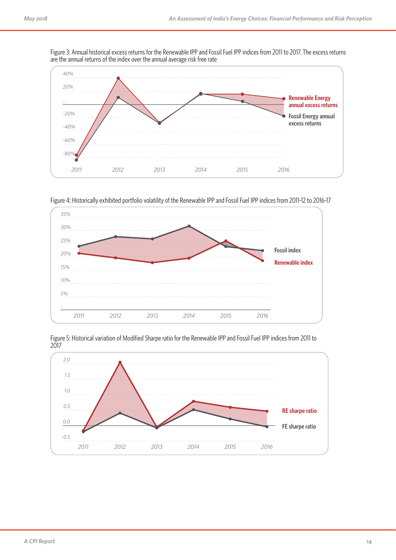Figure 3: Annual historical excess returns for the Renewable IPP and Fossil Fuel IPP indices from 2011 to 2017. The excess returns are the annual returns of the index over the annual average risk free rate



Figure 4: Historically exhibited portfolio volatility of the Renewable IPP and Fossil Fuel IPP indices from 2011-12 to 2016-17





Figure 5: Historical variation of Modified Sharpe ratio for the Renewable IPP and Fossil Fuel IPP indices from 2011 to 2017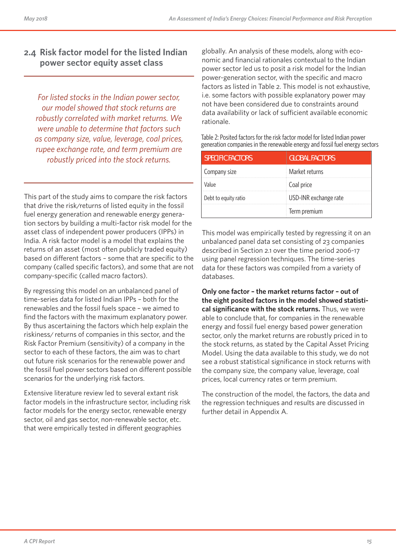### **2.4 Risk factor model for the listed Indian power sector equity asset class**

*For listed stocks in the Indian power sector, our model showed that stock returns are robustly correlated with market returns. We were unable to determine that factors such as company size, value, leverage, coal prices, rupee exchange rate, and term premium are robustly priced into the stock returns.*

This part of the study aims to compare the risk factors that drive the risk/returns of listed equity in the fossil fuel energy generation and renewable energy generation sectors by building a multi-factor risk model for the asset class of independent power producers (IPPs) in India. A risk factor model is a model that explains the returns of an asset (most often publicly traded equity) based on different factors – some that are specific to the company (called specific factors), and some that are not company-specific (called macro factors).

By regressing this model on an unbalanced panel of time-series data for listed Indian IPPs – both for the renewables and the fossil fuels space – we aimed to find the factors with the maximum explanatory power. By thus ascertaining the factors which help explain the riskiness/ returns of companies in this sector, and the Risk Factor Premium (sensitivity) of a company in the sector to each of these factors, the aim was to chart out future risk scenarios for the renewable power and the fossil fuel power sectors based on different possible scenarios for the underlying risk factors.

Extensive literature review led to several extant risk factor models in the infrastructure sector, including risk factor models for the energy sector, renewable energy sector, oil and gas sector, non-renewable sector, etc. that were empirically tested in different geographies

globally. An analysis of these models, along with economic and financial rationales contextual to the Indian power sector led us to posit a risk model for the Indian power-generation sector, with the specific and macro factors as listed in Table 2. This model is not exhaustive, i.e. some factors with possible explanatory power may not have been considered due to constraints around data availability or lack of sufficient available economic rationale.

Table 2: Posited factors for the risk factor model for listed Indian power generation companies in the renewable energy and fossil fuel energy sectors

| <b>SPECIFIC FACTORS</b> | <b>GLOBAL FACTORS</b> |
|-------------------------|-----------------------|
| Company size            | Market returns        |
| Value                   | Coal price            |
| Debt to equity ratio    | USD-INR exchange rate |
|                         | Term premium          |

This model was empirically tested by regressing it on an unbalanced panel data set consisting of 23 companies described in Section 2.1 over the time period 2006-17 using panel regression techniques. The time-series data for these factors was compiled from a variety of databases.

**Only one factor – the market returns factor – out of the eight posited factors in the model showed statistical significance with the stock returns.** Thus, we were able to conclude that, for companies in the renewable energy and fossil fuel energy based power generation sector, only the market returns are robustly priced in to the stock returns, as stated by the Capital Asset Pricing Model. Using the data available to this study, we do not see a robust statistical significance in stock returns with the company size, the company value, leverage, coal prices, local currency rates or term premium.

The construction of the model, the factors, the data and the regression techniques and results are discussed in further detail in Appendix A.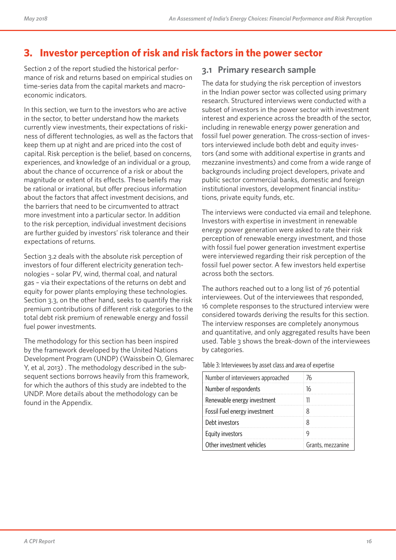# **3. Investor perception of risk and risk factors in the power sector**

Section 2 of the report studied the historical performance of risk and returns based on empirical studies on time-series data from the capital markets and macroeconomic indicators.

In this section, we turn to the investors who are active in the sector, to better understand how the markets currently view investments, their expectations of riskiness of different technologies, as well as the factors that keep them up at night and are priced into the cost of capital. Risk perception is the belief, based on concerns, experiences, and knowledge of an individual or a group, about the chance of occurrence of a risk or about the magnitude or extent of its effects. These beliefs may be rational or irrational, but offer precious information about the factors that affect investment decisions, and the barriers that need to be circumvented to attract more investment into a particular sector. In addition to the risk perception, individual investment decisions are further guided by investors' risk tolerance and their expectations of returns.

Section 3.2 deals with the absolute risk perception of investors of four different electricity generation technologies – solar PV, wind, thermal coal, and natural gas – via their expectations of the returns on debt and equity for power plants employing these technologies. Section 3.3, on the other hand, seeks to quantify the risk premium contributions of different risk categories to the total debt risk premium of renewable energy and fossil fuel power investments.

The methodology for this section has been inspired by the framework developed by the United Nations Development Program (UNDP) (Waissbein O, Glemarec Y, et al, 2013) . The methodology described in the subsequent sections borrows heavily from this framework, for which the authors of this study are indebted to the UNDP. More details about the methodology can be found in the Appendix.

### **3.1 Primary research sample**

The data for studying the risk perception of investors in the Indian power sector was collected using primary research. Structured interviews were conducted with a subset of investors in the power sector with investment interest and experience across the breadth of the sector, including in renewable energy power generation and fossil fuel power generation. The cross-section of investors interviewed include both debt and equity investors (and some with additional expertise in grants and mezzanine investments) and come from a wide range of backgrounds including project developers, private and public sector commercial banks, domestic and foreign institutional investors, development financial institutions, private equity funds, etc.

The interviews were conducted via email and telephone. Investors with expertise in investment in renewable energy power generation were asked to rate their risk perception of renewable energy investment, and those with fossil fuel power generation investment expertise were interviewed regarding their risk perception of the fossil fuel power sector. A few investors held expertise across both the sectors.

The authors reached out to a long list of 76 potential interviewees. Out of the interviewees that responded, 16 complete responses to the structured interview were considered towards deriving the results for this section. The interview responses are completely anonymous and quantitative, and only aggregated results have been used. Table 3 shows the break-down of the interviewees by categories.

#### Table 3: Interviewees by asset class and area of expertise

| Number of interviewers approached | 76                |
|-----------------------------------|-------------------|
| Number of respondents             | 16                |
| Renewable energy investment       | 11                |
| Fossil Fuel energy investment     | 8                 |
| Debt investors                    | 8                 |
| Equity investors                  | g                 |
| Other investment vehicles         | Grants, mezzanine |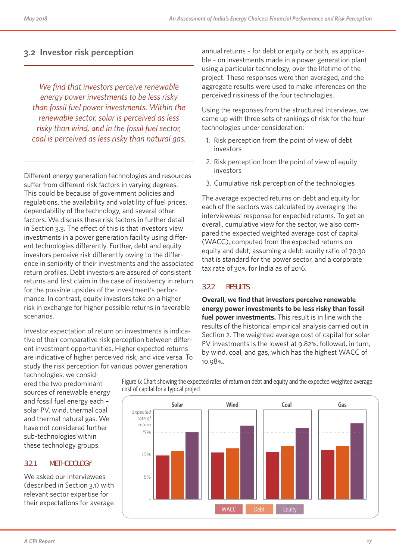### **3.2 Investor risk perception**

*We find that investors perceive renewable energy power investments to be less risky than fossil fuel power investments. Within the renewable sector, solar is perceived as less risky than wind, and in the fossil fuel sector, coal is perceived as less risky than natural gas.*

Different energy generation technologies and resources suffer from different risk factors in varying degrees. This could be because of government policies and regulations, the availability and volatility of fuel prices, dependability of the technology, and several other factors. We discuss these risk factors in further detail in Section 3.3. The effect of this is that investors view investments in a power generation facility using different technologies differently. Further, debt and equity investors perceive risk differently owing to the difference in seniority of their investments and the associated return profiles. Debt investors are assured of consistent returns and first claim in the case of insolvency in return for the possible upsides of the investment's performance. In contrast, equity investors take on a higher risk in exchange for higher possible returns in favorable scenarios.

Investor expectation of return on investments is indicative of their comparative risk perception between different investment opportunities. Higher expected returns are indicative of higher perceived risk, and vice versa. To study the risk perception for various power generation

technologies, we considered the two predominant sources of renewable energy and fossil fuel energy each – solar PV, wind, thermal coal and thermal natural gas. We have not considered further sub-technologies within these technology groups.

#### **3.2.1 METHODOLOGY**

We asked our interviewees (described in Section 3.1) with relevant sector expertise for their expectations for average annual returns – for debt or equity or both, as applicable – on investments made in a power generation plant using a particular technology, over the lifetime of the project. These responses were then averaged, and the aggregate results were used to make inferences on the perceived riskiness of the four technologies.

Using the responses from the structured interviews, we came up with three sets of rankings of risk for the four technologies under consideration:

- 1. Risk perception from the point of view of debt investors
- 2. Risk perception from the point of view of equity investors
- 3. Cumulative risk perception of the technologies

The average expected returns on debt and equity for each of the sectors was calculated by averaging the interviewees' response for expected returns. To get an overall, cumulative view for the sector, we also compared the expected weighted average cost of capital (WACC), computed from the expected returns on equity and debt, assuming a debt: equity ratio of 70:30 that is standard for the power sector, and a corporate tax rate of 30% for India as of 2016.

#### **3.2.2 RESULTS**

**Overall, we find that investors perceive renewable energy power investments to be less risky than fossil fuel power investments.** This result is in line with the results of the historical empirical analysis carried out in Section 2. The weighted average cost of capital for solar PV investments is the lowest at 9.82%, followed, in turn, by wind, coal, and gas, which has the highest WACC of 10.98%.



Figure 6: Chart showing the expected rates of return on debt and equity and the expected weighted average cost of capital for a typical project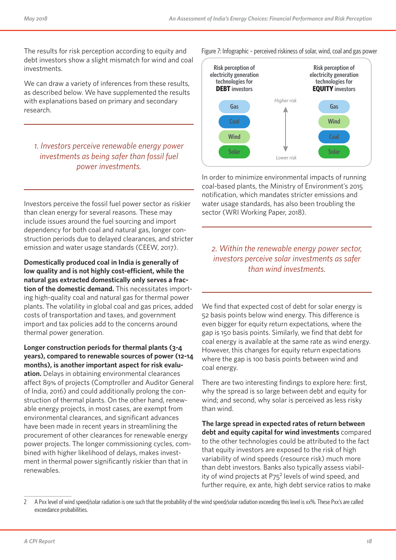The results for risk perception according to equity and debt investors show a slight mismatch for wind and coal investments.

We can draw a variety of inferences from these results, as described below. We have supplemented the results with explanations based on primary and secondary research.

### *1. Investors perceive renewable energy power investments as being safer than fossil fuel power investments.*

Investors perceive the fossil fuel power sector as riskier than clean energy for several reasons. These may include issues around the fuel sourcing and import dependency for both coal and natural gas, longer construction periods due to delayed clearances, and stricter emission and water usage standards (CEEW, 2017).

**Domestically produced coal in India is generally of low quality and is not highly cost-efficient, while the natural gas extracted domestically only serves a fraction of the domestic demand.** This necessitates importing high-quality coal and natural gas for thermal power plants. The volatility in global coal and gas prices, added costs of transportation and taxes, and government import and tax policies add to the concerns around thermal power generation.

**Longer construction periods for thermal plants (3-4 years), compared to renewable sources of power (12-14 months), is another important aspect for risk evaluation.** Delays in obtaining environmental clearances affect 89% of projects (Comptroller and Auditor General of India, 2016) and could additionally prolong the construction of thermal plants. On the other hand, renewable energy projects, in most cases, are exempt from environmental clearances, and significant advances have been made in recent years in streamlining the procurement of other clearances for renewable energy power projects. The longer commissioning cycles, combined with higher likelihood of delays, makes investment in thermal power significantly riskier than that in renewables.



In order to minimize environmental impacts of running coal-based plants, the Ministry of Environment's 2015 notification, which mandates stricter emissions and water usage standards, has also been troubling the sector (WRI Working Paper, 2018).

*2. Within the renewable energy power sector, investors perceive solar investments as safer than wind investments.*

We find that expected cost of debt for solar energy is 52 basis points below wind energy. This difference is even bigger for equity return expectations, where the gap is 150 basis points. Similarly, we find that debt for coal energy is available at the same rate as wind energy. However, this changes for equity return expectations where the gap is 100 basis points between wind and coal energy.

There are two interesting findings to explore here: first, why the spread is so large between debt and equity for wind; and second, why solar is perceived as less risky than wind.

**The large spread in expected rates of return between debt and equity capital for wind investments** compared to the other technologies could be attributed to the fact that equity investors are exposed to the risk of high variability of wind speeds (resource risk) much more than debt investors. Banks also typically assess viability of wind projects at P75<sup>2</sup> levels of wind speed, and further require, ex ante, high debt service ratios to make

2 A Pxx level of wind speed/solar radiation is one such that the probability of the wind speed/solar radiation exceeding this level is xx%. These Pxx's are called exceedance probabilities.

Figure 7: Infographic – perceived riskiness of solar, wind, coal and gas power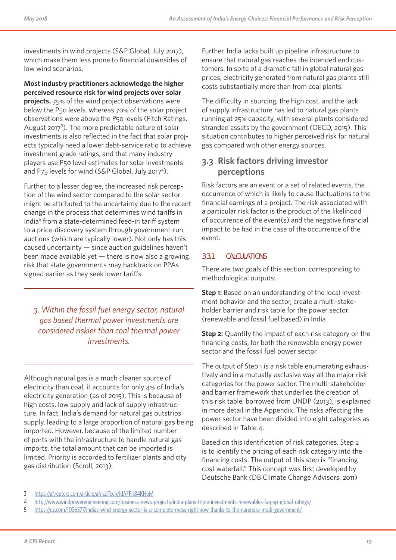investments in wind projects (S&P Global, July 2017), which make them less prone to financial downsides of low wind scenarios.

**Most industry practitioners acknowledge the higher perceived resource risk for wind projects over solar projects.** 75% of the wind project observations were below the P50 levels, whereas 70% of the solar project observations were above the P50 levels (Fitch Ratings, August 2017<sup>3</sup>). The more predictable nature of solar investments is also reflected in the fact that solar projects typically need a lower debt-service ratio to achieve investment grade ratings, and that many industry players use P50 level estimates for solar investments and P75 levels for wind (S&P Global, July 2017<sup>4</sup>).

Further, to a lesser degree, the increased risk perception of the wind sector compared to the solar sector might be attributed to the uncertainty due to the recent change in the process that determines wind tariffs in India<sup>5</sup> from a state-determined feed-in tariff system to a price-discovery system through government-run auctions (which are typically lower). Not only has this caused uncertainty — since auction guidelines haven't been made available yet  $-$  there is now also a growing risk that state governments may backtrack on PPAs signed earlier as they seek lower tariffs.

*3. Within the fossil fuel energy sector, natural gas based thermal power investments are considered riskier than coal thermal power investments.* 

Although natural gas is a much cleaner source of electricity than coal, it accounts for only 4% of India's electricity generation (as of 2015). This is because of high costs, low supply and lack of supply infrastructure. In fact, India's demand for natural gas outstrips supply, leading to a large proportion of natural gas being imported. However, because of the limited number of ports with the infrastructure to handle natural gas imports, the total amount that can be imported is limited. Priority is accorded to fertilizer plants and city gas distribution (Scroll, 2013).

Further, India lacks built up pipeline infrastructure to ensure that natural gas reaches the intended end customers. In spite of a dramatic fall in global natural gas prices, electricity generated from natural gas plants still costs substantially more than from coal plants.

The difficulty in sourcing, the high cost, and the lack of supply infrastructure has led to natural gas plants running at 25% capacity, with several plants considered stranded assets by the government (OECD, 2015). This situation contributes to higher perceived risk for natural gas compared with other energy sources.

### **3.3 Risk factors driving investor perceptions**

Risk factors are an event or a set of related events, the occurrence of which is likely to cause fluctuations to the financial earnings of a project. The risk associated with a particular risk factor is the product of the likelihood of occurrence of the event(s) and the negative financial impact to be had in the case of the occurrence of the event.

### **3.3.1 CALCULATIONS**

There are two goals of this section, corresponding to methodological outputs:

**Step 1:** Based on an understanding of the local investment behavior and the sector, create a multi-stakeholder barrier and risk table for the power sector (renewable and fossil fuel based) in India

**Step 2:** Quantify the impact of each risk category on the financing costs, for both the renewable energy power sector and the fossil fuel power sector

The output of Step 1 is a risk table enumerating exhaustively and in a mutually exclusive way all the major risk categories for the power sector. The multi-stakeholder and barrier framework that underlies the creation of this risk table, borrowed from UNDP (2013), is explained in more detail in the Appendix. The risks affecting the power sector have been divided into eight categories as described in Table 4.

Based on this identification of risk categories, Step 2 is to identify the pricing of each risk category into the financing costs. The output of this step is "financing cost waterfall." This concept was first developed by Deutsche Bank (DB Climate Change Advisors, 2011)

<sup>3</sup> https://af.reuters.com/article/africaTech/idAFFit84KHbM

<sup>4</sup> http://www.windpowerengineering.com/business-news-projects/india-plans-triple-investments-renewables-faq-sp-global-ratings/

<sup>5</sup> https://qz.com/1036577/indias-wind-energy-sector-is-a-complete-mess-right-now-thanks-to-the-narendra-modi-government/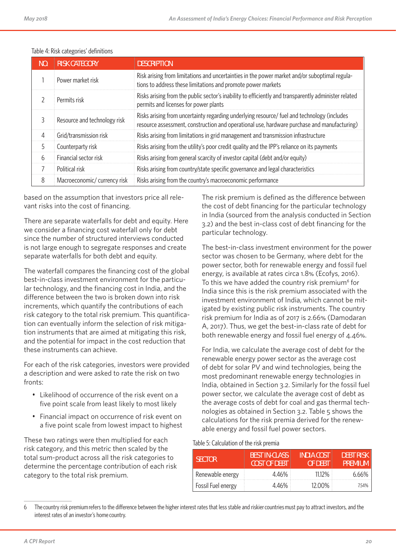| NO. | <b>RISK CATEGORY</b>         | <b>DESCRIPTION</b>                                                                                                                                                                         |
|-----|------------------------------|--------------------------------------------------------------------------------------------------------------------------------------------------------------------------------------------|
|     | Power market risk            | Risk arising from limitations and uncertainties in the power market and/or suboptimal regula-<br>tions to address these limitations and promote power markets                              |
|     | Permits risk                 | Risks arising from the public sector's inability to efficiently and transparently administer related<br>permits and licenses for power plants                                              |
|     | Resource and technology risk | Risks arising from uncertainty regarding underlying resource/ fuel and technology (includes<br>resource assessment, construction and operational use, hardware purchase and manufacturing) |
| 4   | Grid/transmission risk       | Risks arising from limitations in grid management and transmission infrastructure                                                                                                          |
| 5.  | Counterparty risk            | Risks arising from the utility's poor credit quality and the IPP's reliance on its payments                                                                                                |
| 6   | Financial sector risk        | Risks arising from general scarcity of investor capital (debt and/or equity)                                                                                                               |
|     | Political risk               | Risks arising from country/state specific governance and legal characteristics                                                                                                             |
| 8   | Macroeconomic/ currency risk | Risks arising from the country's macroeconomic performance                                                                                                                                 |

#### Table 4: Risk categories' definitions

based on the assumption that investors price all relevant risks into the cost of financing.

There are separate waterfalls for debt and equity. Here we consider a financing cost waterfall only for debt since the number of structured interviews conducted is not large enough to segregate responses and create separate waterfalls for both debt and equity.

The waterfall compares the financing cost of the global best-in-class investment environment for the particular technology, and the financing cost in India, and the difference between the two is broken down into risk increments, which quantify the contributions of each risk category to the total risk premium. This quantification can eventually inform the selection of risk mitigation instruments that are aimed at mitigating this risk, and the potential for impact in the cost reduction that these instruments can achieve.

For each of the risk categories, investors were provided a description and were asked to rate the risk on two fronts:

- Likelihood of occurrence of the risk event on a five point scale from least likely to most likely
- Financial impact on occurrence of risk event on a five point scale from lowest impact to highest

These two ratings were then multiplied for each risk category, and this metric then scaled by the total sum-product across all the risk categories to determine the percentage contribution of each risk category to the total risk premium.

The risk premium is defined as the difference between the cost of debt financing for the particular technology in India (sourced from the analysis conducted in Section 3.2) and the best in-class cost of debt financing for the particular technology.

The best-in-class investment environment for the power sector was chosen to be Germany, where debt for the power sector, both for renewable energy and fossil fuel energy, is available at rates circa 1.8% (Ecofys, 2016). To this we have added the country risk premium<sup>6</sup> for India since this is the risk premium associated with the investment environment of India, which cannot be mitigated by existing public risk instruments. The country risk premium for India as of 2017 is 2.66% (Damodaran A, 2017). Thus, we get the best-in-class rate of debt for both renewable energy and fossil fuel energy of 4.46%.

For India, we calculate the average cost of debt for the renewable energy power sector as the average cost of debt for solar PV and wind technologies, being the most predominant renewable energy technologies in India, obtained in Section 3.2. Similarly for the fossil fuel power sector, we calculate the average cost of debt as the average costs of debt for coal and gas thermal technologies as obtained in Section 3.2. Table 5 shows the calculations for the risk premia derived for the renewable energy and fossil fuel power sectors.

#### Table 5: Calculation of the risk premia

| <b>SECTOR</b>      | BEST IN-CLASS<br><b>COST OF DEBT</b> | <b>INDIA COST</b><br>OF DEBT | <b>DEBT RISK</b><br><b>PREMIUM</b> |
|--------------------|--------------------------------------|------------------------------|------------------------------------|
| Renewable energy   | 4.46%                                | $11.12\%$                    | 6.66%                              |
| Fossil Fuel energy | 4.46%                                | 12.00%                       | 7.54%                              |

6 The country risk premium refers to the difference between the higher interest rates that less stable and riskier countries must pay to attract investors, and the interest rates of an investor's home country.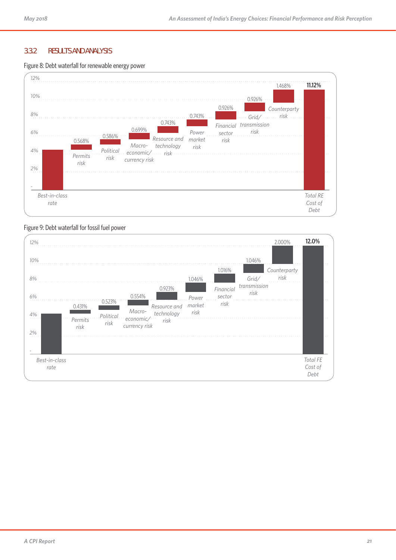#### **3.3.2 RESULTS AND ANALYSIS**

#### Figure 8: Debt waterfall for renewable energy power



#### Figure 9: Debt waterfall for fossil fuel power

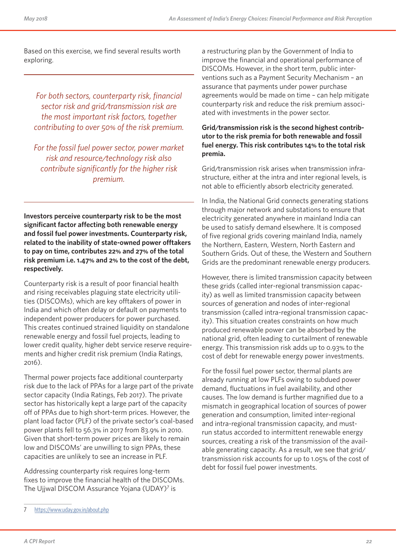Based on this exercise, we find several results worth exploring.

*For both sectors, counterparty risk, financial sector risk and grid/transmission risk are the most important risk factors, together contributing to over 50% of the risk premium.*

*For the fossil fuel power sector, power market risk and resource/technology risk also contribute significantly for the higher risk premium.* 

**Investors perceive counterparty risk to be the most significant factor affecting both renewable energy and fossil fuel power investments. Counterparty risk, related to the inability of state-owned power offtakers to pay on time, contributes 22% and 27% of the total risk premium i.e. 1.47% and 2% to the cost of the debt, respectively.**

Counterparty risk is a result of poor financial health and rising receivables plaguing state electricity utilities (DISCOMs), which are key offtakers of power in India and which often delay or default on payments to independent power producers for power purchased. This creates continued strained liquidity on standalone renewable energy and fossil fuel projects, leading to lower credit quality, higher debt service reserve requirements and higher credit risk premium (India Ratings, 2016).

Thermal power projects face additional counterparty risk due to the lack of PPAs for a large part of the private sector capacity (India Ratings, Feb 2017). The private sector has historically kept a large part of the capacity off of PPAs due to high short-term prices. However, the plant load factor (PLF) of the private sector's coal-based power plants fell to 56.3% in 2017 from 83.9% in 2010. Given that short-term power prices are likely to remain low and DISCOMs' are unwilling to sign PPAs, these capacities are unlikely to see an increase in PLF.

Addressing counterparty risk requires long-term fixes to improve the financial health of the DISCOMs. The Ujjwal DISCOM Assurance Yojana (UDAY)<sup>7</sup> is

#### **Grid/transmission risk is the second highest contributor to the risk premia for both renewable and fossil fuel energy. This risk contributes 14% to the total risk premia.**

Grid/transmission risk arises when transmission infrastructure, either at the intra and inter regional levels, is not able to efficiently absorb electricity generated.

In India, the National Grid connects generating stations through major network and substations to ensure that electricity generated anywhere in mainland India can be used to satisfy demand elsewhere. It is composed of five regional grids covering mainland India, namely the Northern, Eastern, Western, North Eastern and Southern Grids. Out of these, the Western and Southern Grids are the predominant renewable energy producers.

However, there is limited transmission capacity between these grids (called inter-regional transmission capacity) as well as limited transmission capacity between sources of generation and nodes of inter-regional transmission (called intra-regional transmission capacity). This situation creates constraints on how much produced renewable power can be absorbed by the national grid, often leading to curtailment of renewable energy. This transmission risk adds up to 0.93% to the cost of debt for renewable energy power investments.

For the fossil fuel power sector, thermal plants are already running at low PLFs owing to subdued power demand, fluctuations in fuel availability, and other causes. The low demand is further magnified due to a mismatch in geographical location of sources of power generation and consumption, limited inter-regional and intra-regional transmission capacity, and mustrun status accorded to intermittent renewable energy sources, creating a risk of the transmission of the available generating capacity. As a result, we see that grid/ transmission risk accounts for up to 1.05% of the cost of debt for fossil fuel power investments.

a restructuring plan by the Government of India to improve the financial and operational performance of DISCOMs. However, in the short term, public interventions such as a Payment Security Mechanism – an assurance that payments under power purchase agreements would be made on time – can help mitigate counterparty risk and reduce the risk premium associated with investments in the power sector.

<sup>7</sup> https://www.uday.gov.in/about.php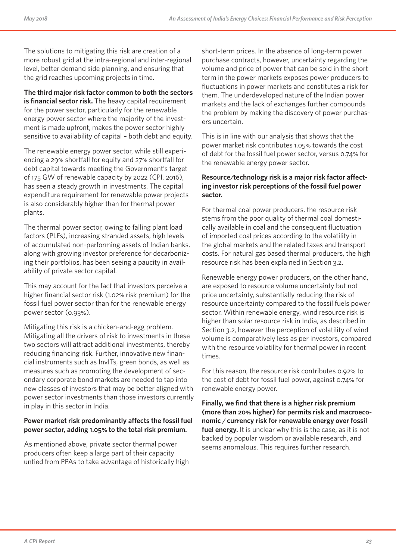The solutions to mitigating this risk are creation of a more robust grid at the intra-regional and inter-regional level, better demand side planning, and ensuring that the grid reaches upcoming projects in time.

**The third major risk factor common to both the sectors is financial sector risk.** The heavy capital requirement for the power sector, particularly for the renewable energy power sector where the majority of the investment is made upfront, makes the power sector highly sensitive to availability of capital – both debt and equity.

The renewable energy power sector, while still experiencing a 29% shortfall for equity and 27% shortfall for debt capital towards meeting the Government's target of 175 GW of renewable capacity by 2022 (CPI, 2016), has seen a steady growth in investments. The capital expenditure requirement for renewable power projects is also considerably higher than for thermal power plants.

The thermal power sector, owing to falling plant load factors (PLFs), increasing stranded assets, high levels of accumulated non-performing assets of Indian banks, along with growing investor preference for decarbonizing their portfolios, has been seeing a paucity in availability of private sector capital.

This may account for the fact that investors perceive a higher financial sector risk (1.02% risk premium) for the fossil fuel power sector than for the renewable energy power sector (0.93%).

Mitigating this risk is a chicken-and-egg problem. Mitigating all the drivers of risk to investments in these two sectors will attract additional investments, thereby reducing financing risk. Further, innovative new financial instruments such as InvITs, green bonds, as well as measures such as promoting the development of secondary corporate bond markets are needed to tap into new classes of investors that may be better aligned with power sector investments than those investors currently in play in this sector in India.

#### **Power market risk predominantly affects the fossil fuel power sector, adding 1.05% to the total risk premium.**

As mentioned above, private sector thermal power producers often keep a large part of their capacity untied from PPAs to take advantage of historically high short-term prices. In the absence of long-term power purchase contracts, however, uncertainty regarding the volume and price of power that can be sold in the short term in the power markets exposes power producers to fluctuations in power markets and constitutes a risk for them. The underdeveloped nature of the Indian power markets and the lack of exchanges further compounds the problem by making the discovery of power purchasers uncertain.

This is in line with our analysis that shows that the power market risk contributes 1.05% towards the cost of debt for the fossil fuel power sector, versus 0.74% for the renewable energy power sector.

#### **Resource/technology risk is a major risk factor affecting investor risk perceptions of the fossil fuel power sector.**

For thermal coal power producers, the resource risk stems from the poor quality of thermal coal domestically available in coal and the consequent fluctuation of imported coal prices according to the volatility in the global markets and the related taxes and transport costs. For natural gas based thermal producers, the high resource risk has been explained in Section 3.2.

Renewable energy power producers, on the other hand, are exposed to resource volume uncertainty but not price uncertainty, substantially reducing the risk of resource uncertainty compared to the fossil fuels power sector. Within renewable energy, wind resource risk is higher than solar resource risk in India, as described in Section 3.2, however the perception of volatility of wind volume is comparatively less as per investors, compared with the resource volatility for thermal power in recent times.

For this reason, the resource risk contributes 0.92% to the cost of debt for fossil fuel power, against 0.74% for renewable energy power.

**Finally, we find that there is a higher risk premium (more than 20% higher) for permits risk and macroeconomic / currency risk for renewable energy over fossil fuel energy.** It is unclear why this is the case, as it is not backed by popular wisdom or available research, and seems anomalous. This requires further research.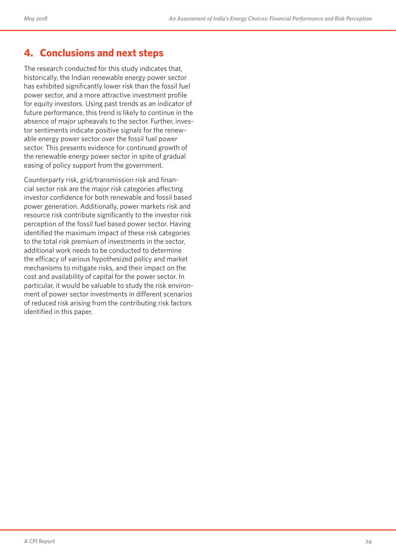# **4. Conclusions and next steps**

The research conducted for this study indicates that, historically, the Indian renewable energy power sector has exhibited significantly lower risk than the fossil fuel power sector, and a more attractive investment profile for equity investors. Using past trends as an indicator of future performance, this trend is likely to continue in the absence of major upheavals to the sector. Further, investor sentiments indicate positive signals for the renewable energy power sector over the fossil fuel power sector. This presents evidence for continued growth of the renewable energy power sector in spite of gradual easing of policy support from the government.

Counterparty risk, grid/transmission risk and financial sector risk are the major risk categories affecting investor confidence for both renewable and fossil based power generation. Additionally, power markets risk and resource risk contribute significantly to the investor risk perception of the fossil fuel based power sector. Having identified the maximum impact of these risk categories to the total risk premium of investments in the sector, additional work needs to be conducted to determine the efficacy of various hypothesized policy and market mechanisms to mitigate risks, and their impact on the cost and availability of capital for the power sector. In particular, it would be valuable to study the risk environment of power sector investments in different scenarios of reduced risk arising from the contributing risk factors identified in this paper.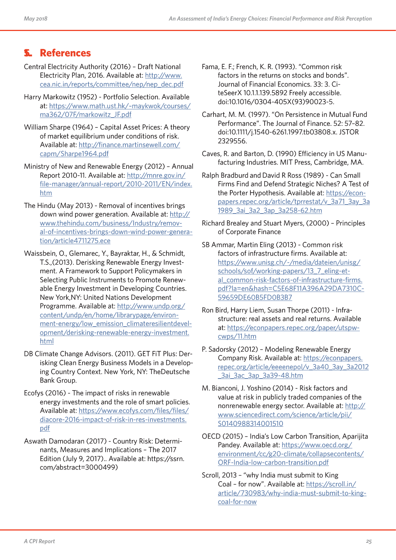# **5. References 1.**

- Central Electricity Authority (2016) Draft National Electricity Plan, 2016. Available at: http://www. cea.nic.in/reports/committee/nep/nep\_dec.pdf
- Harry Markowitz (1952) Portfolio Selection. Available at: https://www.math.ust.hk/~maykwok/courses/ ma362/07F/markowitz\_JF.pdf
- William Sharpe (1964) Capital Asset Prices: A theory of market equilibrium under conditions of risk. Available at: http://finance.martinsewell.com/ capm/Sharpe1964.pdf
- Ministry of New and Renewable Energy (2012) Annual Report 2010-11. Available at: http://mnre.gov.in/ file-manager/annual-report/2010-2011/EN/index. htm
- The Hindu (May 2013) Removal of incentives brings down wind power generation. Available at: http:// www.thehindu.com/business/Industry/removal-of-incentives-brings-down-wind-power-generation/article4711275.ece
- Waissbein, O., Glemarec, Y., Bayraktar, H., & Schmidt, T.S.,(2013). Derisking Renewable Energy Investment. A Framework to Support Policymakers in Selecting Public Instruments to Promote Renewable Energy Investment in Developing Countries. New York,NY: United Nations Development Programme. Available at: http://www.undp.org/ content/undp/en/home/librarypage/environment-energy/low\_emission\_climateresilientdevelopment/derisking-renewable-energy-investment. html
- DB Climate Change Advisors. (2011). GET FiT Plus: Derisking Clean Energy Business Models in a Developing Country Context. New York, NY: TheDeutsche Bank Group.
- Ecofys (2016) The impact of risks in renewable energy investments and the role of smart policies. Available at: https://www.ecofys.com/files/files/ diacore-2016-impact-of-risk-in-res-investments. pdf
- Aswath Damodaran (2017) Country Risk: Determinants, Measures and Implications – The 2017 Edition (July 9, 2017).. Available at: https://ssrn. com/abstract=3000499)
- Fama, E. F.; French, K. R. (1993). "Common risk factors in the returns on stocks and bonds". Journal of Financial Economics. 33: 3. CiteSeerX 10.1.1.139.5892 Freely accessible. doi:10.1016/0304-405X(93)90023-5.
- Carhart, M. M. (1997). "On Persistence in Mutual Fund Performance". The Journal of Finance. 52: 57–82. doi:10.1111/j.1540-6261.1997.tb03808.x. JSTOR 2329556.
- Caves, R. and Barton, D. (1990) Efficiency in US Manufacturing Industries. MIT Press, Cambridge, MA.
- Ralph Bradburd and David R Ross (1989) Can Small Firms Find and Defend Strategic Niches? A Test of the Porter Hypothesis. Available at: https://econpapers.repec.org/article/tprrestat/v\_3a71\_3ay\_3a 1989\_3ai\_3a2\_3ap\_3a258-62.htm
- Richard Brealey and Stuart Myers, (2000) Principles of Corporate Finance
- SB Ammar, Martin Eling (2013) Common risk factors of infrastructure firms. Available at: https://www.unisg.ch/-/media/dateien/unisg/ schools/sof/working-papers/13\_7\_eling-etal\_common-risk-factors-of-infrastructure-firms. pdf?la=en&hash=C5E68F11A396A29DA7310C-59659DE60B5FD0B3B7
- Ron Bird, Harry Liem, Susan Thorpe (2011) Infrastructure: real assets and real returns. Available at: https://econpapers.repec.org/paper/utspwcwps/11.htm
- P. Sadorsky (2012) Modeling Renewable Energy Company Risk. Available at: https://econpapers. repec.org/article/eeeenepol/v\_3a40\_3ay\_3a2012 \_3ai\_3ac\_3ap\_3a39-48.htm
- M. Bianconi, J. Yoshino (2014) Risk factors and value at risk in publicly traded companies of the nonrenewable energy sector. Available at: http:// www.sciencedirect.com/science/article/pii/ S0140988314001510
- OECD (2015) India's Low Carbon Transition, Aparijita Pandey. Available at: https://www.oecd.org/ environment/cc/g20-climate/collapsecontents/ ORF-India-low-carbon-transition.pdf
- Scroll, 2013 "why India must submit to King Coal – for now". Available at: https://scroll.in/ article/730983/why-india-must-submit-to-kingcoal-for-now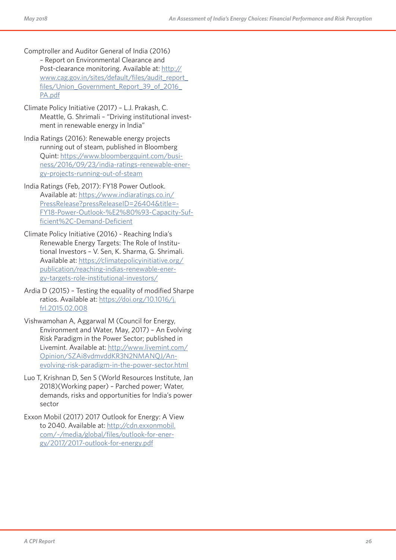- Comptroller and Auditor General of India (2016) – Report on Environmental Clearance and Post-clearance monitoring. Available at: http:// www.cag.gov.in/sites/default/files/audit\_report\_ files/Union Government Report 39 of 2016 PA.pdf
- Climate Policy Initiative (2017) L.J. Prakash, C. Meattle, G. Shrimali – "Driving institutional invest ment in renewable energy in India"
- India Ratings (2016): Renewable energy projects running out of steam, published in Bloomberg Quint: https://www.bloombergquint.com/business/2016/09/23/india-ratings-renewable-ener gy-projects-running-out-of-steam
- India Ratings (Feb, 2017): FY18 Power Outlook. Available at: https://www.indiaratings.co.in/ PressRelease?pressReleaseID=26404&title= - FY18-Power-Outlook-%E2%80%93-Capacity-Suf ficient%2C-Demand-Deficient
- Climate Policy Initiative (2016) Reaching India's Renewable Energy Targets: The Role of Institu tional Investors – V. Sen, K. Sharma, G. Shrimali. Available at: https://climatepolicyinitiative.org/ publication/reaching-indias-renewable-ener gy-targets-role-institutional-investors/
- Ardia D (2015) Testing the equality of modified Sharpe ratios. Available at: https://doi.org/10.1016/j. frl.2015.02.008
- Vishwamohan A, Aggarwal M (Council for Energy, Environment and Water, May, 2017) – An Evolving Risk Paradigm in the Power Sector; published in Livemint. Available at: http://www.livemint.com/ Opinion/SZAi8vdmvddKR3N2NMANQJ/Anevolving-risk-paradigm-in-the-power-sector.html
- Luo T, Krishnan D, Sen S (World Resources Institute, Jan 2018)(Working paper) – Parched power; Water, demands, risks and opportunities for India's power sector
- Exxon Mobil (2017) 2017 Outlook for Energy: A View to 2040. Available at: http://cdn.exxonmobil. com/~/media/global/files/outlook-for-ener gy/2017/2017-outlook-for-energy.pdf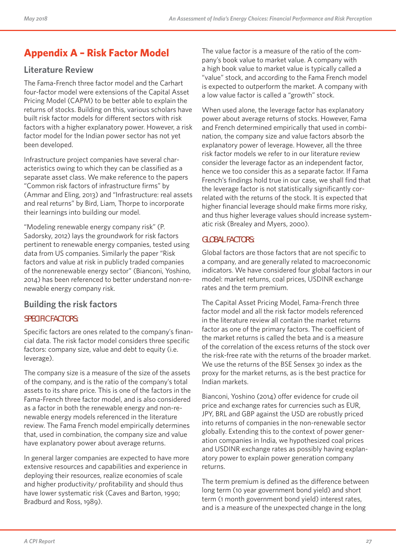# **Appendix A – Risk Factor Model**

### **Literature Review**

The Fama-French three factor model and the Carhart four-factor model were extensions of the Capital Asset Pricing Model (CAPM) to be better able to explain the returns of stocks. Building on this, various scholars have built risk factor models for different sectors with risk factors with a higher explanatory power. However, a risk factor model for the Indian power sector has not yet been developed.

Infrastructure project companies have several characteristics owing to which they can be classified as a separate asset class. We make reference to the papers "Common risk factors of infrastructure firms" by (Ammar and Eling, 2013) and "Infrastructure: real assets and real returns" by Bird, Liam, Thorpe to incorporate their learnings into building our model.

"Modeling renewable energy company risk" (P. Sadorsky, 2012) lays the groundwork for risk factors pertinent to renewable energy companies, tested using data from US companies. Similarly the paper "Risk factors and value at risk in publicly traded companies of the nonrenewable energy sector" (Bianconi, Yoshino, 2014) has been referenced to better understand non-renewable energy company risk.

### **Building the risk factors**

### **SPECIFIC FACTORS:**

Specific factors are ones related to the company's financial data. The risk factor model considers three specific factors: company size, value and debt to equity (i.e. leverage).

The company size is a measure of the size of the assets of the company, and is the ratio of the company's total assets to its share price. This is one of the factors in the Fama-French three factor model, and is also considered as a factor in both the renewable energy and non-renewable energy models referenced in the literature review. The Fama French model empirically determines that, used in combination, the company size and value have explanatory power about average returns.

In general larger companies are expected to have more extensive resources and capabilities and experience in deploying their resources, realize economies of scale and higher productivity/ profitability and should thus have lower systematic risk (Caves and Barton, 1990; Bradburd and Ross, 1989).

The value factor is a measure of the ratio of the company's book value to market value. A company with a high book value to market value is typically called a "value" stock, and according to the Fama French model is expected to outperform the market. A company with a low value factor is called a "growth" stock.

When used alone, the leverage factor has explanatory power about average returns of stocks. However, Fama and French determined empirically that used in combination, the company size and value factors absorb the explanatory power of leverage. However, all the three risk factor models we refer to in our literature review consider the leverage factor as an independent factor, hence we too consider this as a separate factor. If Fama French's findings hold true in our case, we shall find that the leverage factor is not statistically significantly correlated with the returns of the stock. It is expected that higher financial leverage should make firms more risky, and thus higher leverage values should increase systematic risk (Brealey and Myers, 2000).

#### **GLOBAL FACTORS:**

Global factors are those factors that are not specific to a company, and are generally related to macroeconomic indicators. We have considered four global factors in our model: market returns, coal prices, USDINR exchange rates and the term premium.

The Capital Asset Pricing Model, Fama-French three factor model and all the risk factor models referenced in the literature review all contain the market returns factor as one of the primary factors. The coefficient of the market returns is called the beta and is a measure of the correlation of the excess returns of the stock over the risk-free rate with the returns of the broader market. We use the returns of the BSE Sensex 30 index as the proxy for the market returns, as is the best practice for Indian markets.

Bianconi, Yoshino (2014) offer evidence for crude oil price and exchange rates for currencies such as EUR, JPY, BRL and GBP against the USD are robustly priced into returns of companies in the non-renewable sector globally. Extending this to the context of power generation companies in India, we hypothesized coal prices and USDINR exchange rates as possibly having explanatory power to explain power generation company returns.

The term premium is defined as the difference between long term (10 year government bond yield) and short term (1 month government bond yield) interest rates, and is a measure of the unexpected change in the long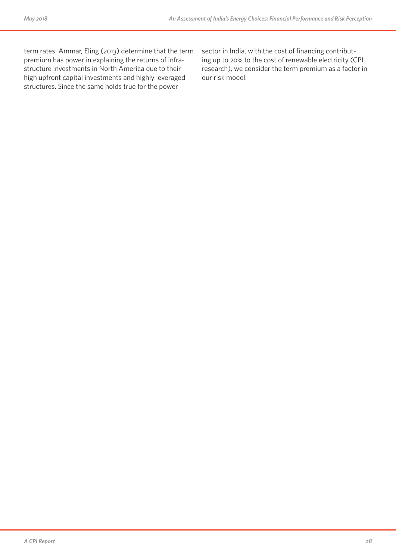term rates. Ammar, Eling (2013) determine that the term premium has power in explaining the returns of infrastructure investments in North America due to their high upfront capital investments and highly leveraged structures. Since the same holds true for the power

sector in India, with the cost of financing contributing up to 20% to the cost of renewable electricity (CPI research), we consider the term premium as a factor in our risk model.